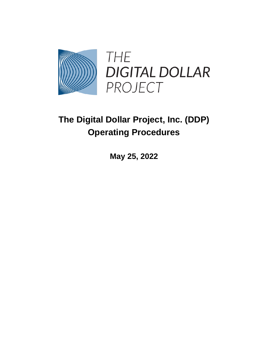

# **The Digital Dollar Project, Inc. (DDP) Operating Procedures**

**May 25, 2022**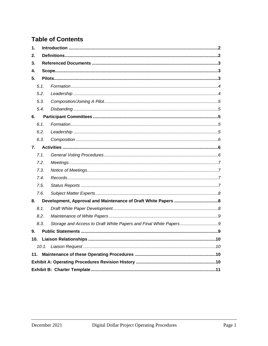### **Table of Contents**

| 1.  |      |                                                                  |  |
|-----|------|------------------------------------------------------------------|--|
| 2.  |      |                                                                  |  |
| 3.  |      |                                                                  |  |
| 4.  |      |                                                                  |  |
| 5.  |      |                                                                  |  |
|     | 5.1. |                                                                  |  |
|     | 5.2. |                                                                  |  |
|     | 5.3. |                                                                  |  |
|     | 5.4. |                                                                  |  |
| 6.  |      |                                                                  |  |
|     | 6.1. |                                                                  |  |
|     | 6.2. |                                                                  |  |
|     | 6.3. |                                                                  |  |
| 7.  |      |                                                                  |  |
|     | 7.1. |                                                                  |  |
|     | 7.2. |                                                                  |  |
|     | 7.3. |                                                                  |  |
|     | 7.4. |                                                                  |  |
|     | 7.5. |                                                                  |  |
|     | 7.6. |                                                                  |  |
| 8.  |      |                                                                  |  |
|     | 8.1. |                                                                  |  |
|     | 8.2. |                                                                  |  |
|     | 8.3. | Storage and Access to Draft White Papers and Final White Papers9 |  |
| 9.  |      |                                                                  |  |
| 10. |      |                                                                  |  |
|     |      |                                                                  |  |
| 11. |      |                                                                  |  |
|     |      |                                                                  |  |
|     |      |                                                                  |  |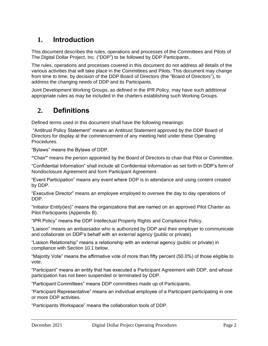### **1. Introduction**

This document describes the rules, operations and processes of the Committees and Pilots of The Digital Dollar Project, Inc. ("DDP") to be followed by DDP Participants..

The rules, operations and processes covered in this document do not address all details of the various activities that will take place in the Committees and Pilots. This document may change from time to time, by decision of the DDP Board of Directors (the "Board of Directors"), to address the changing needs of DDP and its Participants.

Joint Development Working Groups, as defined in the IPR Policy, may have such additional appropriate rules as may be included in the charters establishing such Working Groups.

### **2. Definitions**

Defined terms used in this document shall have the following meanings:

"Antitrust Policy Statement" means an Antitrust Statement approved by the DDP Board of Directors for display at the commencement of any meeting held under these Operating Procedures.

"Bylaws" means the Bylaws of DDP.

**"**Chair**"** means the person appointed by the Board of Directors to chair that Pilot or Committee.

"Confidential Information" shall include all Confidential Information as set forth in DDP's form of Nondisclosure Agreement and form Participant Agreement.

"Event Participation" means any event where DDP is in attendance and using content created by DDP.

"Executive Director" means an employee employed to oversee the day to day operations of DDP.

"Initiator Entity(ies)" means the organizations that are named on an approved Pilot Charter as Pilot Participants (Appendix B).

"IPR Policy" means the DDP Intellectual Property Rights and Compliance Policy.

"Liaison" means an ambassador who is authorized by DDP and their employer to communicate and collaborate on DDP's behalf with an external agency (public or private).

"Liaison Relationship" means a relationship with an external agency (public or private) in compliance with Section 10.1 below.

"Majority Vote" means the affirmative vote of more than fifty percent (50.0%) of those eligible to vote.

"Participant" means an entity that has executed a Participant Agreement with DDP, and whose participation has not been suspended or terminated by DDP.

"Participant Committees" means DDP committees made up of Participants.

"Participant Representative" means an individual employee of a Participant participating in one or more DDP activities.

"Participants Workspace" means the collaboration tools of DDP.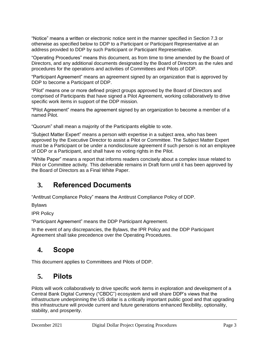"Notice" means a written or electronic notice sent in the manner specified in Section 7.3 or otherwise as specified below to DDP to a Participant or Participant Representative at an address provided to DDP by such Participant or Participant Representative.

"Operating Procedures" means this document, as from time to time amended by the Board of Directors, and any additional documents designated by the Board of Directors as the rules and procedures for the operations and activities of Committees and Pilots of DDP.

"Participant Agreement" means an agreement signed by an organization that is approved by DDP to become a Participant of DDP.

"Pilot" means one or more defined project groups approved by the Board of Directors and comprised of Participants that have signed a Pilot Agreement, working collaboratively to drive specific work items in support of the DDP mission.

"Pilot Agreement" means the agreement signed by an organization to become a member of a named Pilot.

"Quorum" shall mean a majority of the Participants eligible to vote.

"Subject Matter Expert" means a person with expertise in a subject area, who has been approved by the Executive Director to assist a Pilot or Committee. The Subject Matter Expert must be a Participant or be under a nondisclosure agreement if such person is not an employee of DDP or a Participant, and shall have no voting rights in the Pilot.

"White Paper" means a report that informs readers concisely about a complex issue related to Pilot or Committee activity. This deliverable remains in Draft form until it has been approved by the Board of Directors as a Final White Paper.

### **3. Referenced Documents**

"Antitrust Compliance Policy" means the Antitrust Compliance Policy of DDP.

Bylaws

IPR Policy

"Participant Agreement" means the DDP Participant Agreement.

In the event of any discrepancies, the Bylaws, the IPR Policy and the DDP Participant Agreement shall take precedence over the Operating Procedures.

### **4. Scope**

This document applies to Committees and Pilots of DDP.

### **5. Pilots**

Pilots will work collaboratively to drive specific work items in exploration and development of a Central Bank Digital Currency ("CBDC") ecosystem and will share DDP's views that the infrastructure underpinning the US dollar is a critically important public good and that upgrading this infrastructure will provide current and future generations enhanced flexibility, optionality, stability, and prosperity.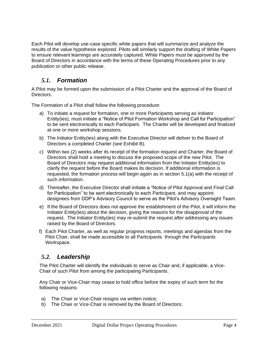Each Pilot will develop use-case specific white papers that will summarize and analyze the results of the value hypothesis explored. Pilots will similarly support the drafting of White Papers to ensure relevant learnings are accurately captured. White Papers must be approved by the Board of Directors in accordance with the terms of these Operating Procedures prior to any publication or other public release.

### *5.1. Formation*

A Pilot may be formed upon the submission of a Pilot Charter and the approval of the Board of Directors.

The Formation of a Pilot shall follow the following procedure:

- a) To initiate a request for formation, one or more Participants serving as Initiator Entity(ies), must initiate a "Notice of Pilot Formation Workshop and Call for Participation" to be sent electronically to each Participant. The Charter will be developed and finalized at one or more workshop sessions.
- b) The Initiator Entity(ies) along with the Executive Director will deliver to the Board of Directors a completed Charter (see Exhibit B).
- c) Within two (2) weeks after its receipt of the formation request and Charter, the Board of Directors shall hold a meeting to discuss the proposed scope of the new Pilot. The Board of Directors may request additional information from the Initiator Entity(ies) to clarify the request before the Board makes its decision. If additional information is requested, the formation process will begin again as in section 5.1(a) with the receipt of such information.
- d) Thereafter, the Executive Director shall initiate a "Notice of Pilot Approval and Final Call for Participation" to be sent electronically to each Participant, and may appoint designees from DDP's Advisory Council to serve as the Pilot's Advisory Oversight Team.
- e) If the Board of Directors does not approve the establishment of the Pilot, it will inform the Initiator Entity(ies) about the decision, giving the reasons for the disapproval of the request. The Initiator Entity(ies) may re-submit the request after addressing any issues raised by the Board of Directors.
- f) Each Pilot Charter, as well as regular progress reports, meetings and agendas from the Pilot Chair, shall be made accessible to all Participants through the Participants Workspace.

### *5.2. Leadership*

The Pilot Charter will identify the individuals to serve as Chair and, if applicable, a Vice-Chair of such Pilot from among the participating Participants.

Any Chair or Vice-Chair may cease to hold office before the expiry of such term for the following reasons:

- a) The Chair or Vice-Chair resigns via written notice;
- b) The Chair or Vice-Chair is removed by the Board of Directors;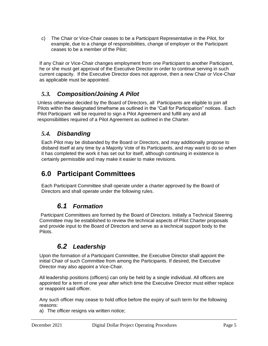c) The Chair or Vice-Chair ceases to be a Participant Representative in the Pilot, for example, due to a change of responsibilities, change of employer or the Participant ceases to be a member of the Pilot;

If any Chair or Vice-Chair changes employment from one Participant to another Participant, he or she must get approval of the Executive Director in order to continue serving in such current capacity. If the Executive Director does not approve, then a new Chair or Vice-Chair as applicable must be appointed.

### *5.3. Composition/Joining A Pilot*

Unless otherwise decided by the Board of Directors, all Participants are eligible to join all Pilots within the designated timeframe as outlined in the "Call for Participation" notices. Each Pilot Participant will be required to sign a Pilot Agreement and fulfill any and all responsibilities required of a Pilot Agreement as outlined in the Charter.

#### *5.4. Disbanding*

Each Pilot may be disbanded by the Board or Directors, and may additionally propose to disband itself at any time by a Majority Vote of its Participants, and may want to do so when it has completed the work it has set out for itself, although continuing in existence is certainly permissible and may make it easier to make revisions.

### **6.0 Participant Committees**

Each Participant Committee shall operate under a charter approved by the Board of Directors and shall operate under the following rules.

### *6.1 Formation*

Participant Committees are formed by the Board of Directors. Initially a Technical Steering Committee may be established to review the technical aspects of Pilot Charter proposals and provide input to the Board of Directors and serve as a technical support body to the Pilots.

### *6.2 Leadership*

Upon the formation of a Participant Committee, the Executive Director shall appoint the initial Chair of such Committee from among the Participants. If desired, the Executive Director may also appoint a Vice-Chair.

All leadership positions (officers) can only be held by a single individual. All officers are appointed for a term of one year after which time the Executive Director must either replace or reappoint said officer.

Any such officer may cease to hold office before the expiry of such term for the following reasons:

a) The officer resigns via written notice;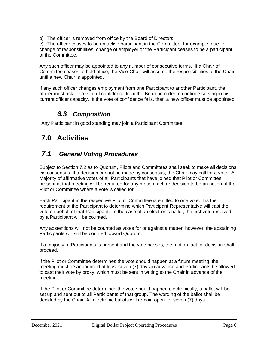b) The officer is removed from office by the Board of Directors;

c) The officer ceases to be an active participant in the Committee, for example, due to change of responsibilities, change of employer or the Participant ceases to be a participant of the Committee.

Any such officer may be appointed to any number of consecutive terms. If a Chair of Committee ceases to hold office, the Vice-Chair will assume the responsibilities of the Chair until a new Chair is appointed.

If any such officer changes employment from one Participant to another Participant, the officer must ask for a vote of confidence from the Board in order to continue serving in his current officer capacity. If the vote of confidence fails, then a new officer must be appointed.

### *6.3 Composition*

Any Participant in good standing may join a Participant Committee.

### **7.0 Activities**

### *7.1 General Voting Procedures*

Subject to Section 7.2 as to Quorum, Pilots and Committees shall seek to make all decisions via consensus. If a decision cannot be made by consensus, the Chair may call for a vote. A Majority of affirmative votes of all Participants that have joined that Pilot or Committee present at that meeting will be required for any motion, act, or decision to be an action of the Pilot or Committee where a vote is called for.

Each Participant in the respective Pilot or Committee is entitled to one vote. It is the requirement of the Participant to determine which Participant Representative will cast the vote on behalf of that Participant. In the case of an electronic ballot, the first vote received by a Participant will be counted.

Any abstentions will not be counted as votes for or against a matter, however, the abstaining Participants will still be counted toward Quorum.

If a majority of Participants is present and the vote passes, the motion, act, or decision shall proceed.

If the Pilot or Committee determines the vote should happen at a future meeting, the meeting must be announced at least seven (7) days in advance and Participants be allowed to cast their vote by proxy, which must be sent in writing to the Chair in advance of the meeting.

If the Pilot or Committee determines the vote should happen electronically, a ballot will be set up and sent out to all Participants of that group. The wording of the ballot shall be decided by the Chair. All electronic ballots will remain open for seven (7) days.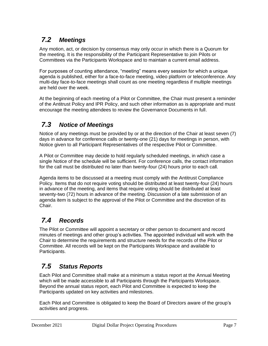## *7.2 Meetings*

Any motion, act, or decision by consensus may only occur in which there is a Quorum for the meeting. It is the responsibility of the Participant Representative to join Pilots or Committees via the Participants Workspace and to maintain a current email address.

For purposes of counting attendance, "meeting" means every session for which a unique agenda is published, either for a face-to-face meeting, video platform or teleconference. Any multi-day face-to-face meetings shall count as one meeting regardless if multiple meetings are held over the week.

At the beginning of each meeting of a Pilot or Committee, the Chair must present a reminder of the Antitrust Policy and IPR Policy, and such other information as is appropriate and must encourage the meeting attendees to review the Governance Documents in full.

## *7.3 Notice of Meetings*

Notice of any meetings must be provided by or at the direction of the Chair at least seven (7) days in advance for conference calls or twenty-one (21) days for meetings in person, with Notice given to all Participant Representatives of the respective Pilot or Committee.

A Pilot or Committee may decide to hold regularly scheduled meetings, in which case a single Notice of the schedule will be sufficient. For conference calls, the contact information for the call must be distributed no later than twenty-four (24) hours prior to each call.

Agenda items to be discussed at a meeting must comply with the Antitrust Compliance Policy. Items that do not require voting should be distributed at least twenty-four (24) hours in advance of the meeting, and items that require voting should be distributed at least seventy-two (72) hours in advance of the meeting. Discussion of a late submission of an agenda item is subject to the approval of the Pilot or Committee and the discretion of its Chair.

### *7.4 Records*

The Pilot or Committee will appoint a secretary or other person to document and record minutes of meetings and other group's activities. The appointed individual will work with the Chair to determine the requirements and structure needs for the records of the Pilot or Committee. All records will be kept on the Participants Workspace and available to Participants.

## *7.5 Status Reports*

Each Pilot and Committee shall make at a minimum a status report at the Annual Meeting which will be made accessible to all Participants through the Participants Workspace. Beyond the annual status report, each Pilot and Committee is expected to keep the Participants updated on key activities and milestones.

Each Pilot and Committee is obligated to keep the Board of Directors aware of the group's activities and progress.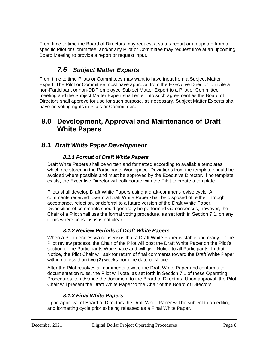From time to time the Board of Directors may request a status report or an update from a specific Pilot or Committee, and/or any Pilot or Committee may request time at an upcoming Board Meeting to provide a report or request input.

### *7.6 Subject Matter Experts*

From time to time Pilots or Committees may want to have input from a Subject Matter Expert. The Pilot or Committee must have approval from the Executive Director to invite a non-Participant or non-DDP employee Subject Matter Expert to a Pilot or Committee meeting and the Subject Matter Expert shall enter into such agreement as the Board of Directors shall approve for use for such purpose, as necessary. Subject Matter Experts shall have no voting rights in Pilots or Committees.

### **8.0 Development, Approval and Maintenance of Draft White Papers**

### *8.1 Draft White Paper Development*

#### *8.1.1 Format of Draft White Papers*

Draft White Papers shall be written and formatted according to available templates, which are stored in the Participants Workspace. Deviations from the template should be avoided where possible and must be approved by the Executive Director. If no template exists, the Executive Director will collaborate with the Pilot to create a template.

Pilots shall develop Draft White Papers using a draft-comment-revise cycle. All comments received toward a Draft White Paper shall be disposed of, either through acceptance, rejection, or deferral to a future version of the Draft White Paper. Disposition of comments should generally be performed via consensus; however, the Chair of a Pilot shall use the formal voting procedure, as set forth in Section 7.1, on any items where consensus is not clear.

#### *8.1.2 Review Periods of Draft White Papers*

When a Pilot decides via consensus that a Draft White Paper is stable and ready for the Pilot review process, the Chair of the Pilot will post the Draft White Paper on the Pilot's section of the Participants Workspace and will give Notice to all Participants. In that Notice, the Pilot Chair will ask for return of final comments toward the Draft White Paper within no less than two (2) weeks from the date of Notice.

After the Pilot resolves all comments toward the Draft White Paper and conforms to documentation rules, the Pilot will vote, as set forth in Section 7.1 of these Operating Procedures, to advance the document to the Board of Directors. Upon approval, the Pilot Chair will present the Draft White Paper to the Chair of the Board of Directors.

#### *8.1.3 Final White Papers*

Upon approval of Board of Directors the Draft White Paper will be subject to an editing and formatting cycle prior to being released as a Final White Paper.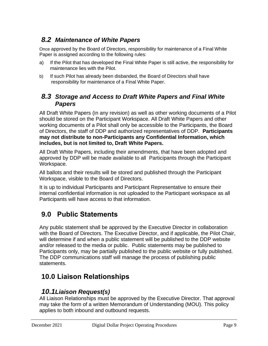### *8.2 Maintenance of White Papers*

Once approved by the Board of Directors, responsibility for maintenance of a Final White Paper is assigned according to the following rules:

- a) If the Pilot that has developed the Final White Paper is still active, the responsibility for maintenance lies with the Pilot.
- b) If such Pilot has already been disbanded, the Board of Directors shall have responsibility for maintenance of a Final White Paper.

### *8.3 Storage and Access to Draft White Papers and Final White Papers*

All Draft White Papers (in any revision) as well as other working documents of a Pilot should be stored on the Participant Workspace. All Draft White Papers and other working documents of a Pilot shall only be accessible to the Participants, the Board of Directors, the staff of DDP and authorized representatives of DDP. **Participants may not distribute to non-Participants any Confidential Information, which includes, but is not limited to, Draft White Papers.**

All Draft White Papers, including their amendments, that have been adopted and approved by DDP will be made available to all Participants through the Participant Workspace.

All ballots and their results will be stored and published through the Participant Workspace, visible to the Board of Directors.

It is up to individual Participants and Participant Representative to ensure their internal confidential information is not uploaded to the Participant workspace as all Participants will have access to that information.

## **9.0 Public Statements**

Any public statement shall be approved by the Executive Director in collaboration with the Board of Directors. The Executive Director, and if applicable, the Pilot Chair, will determine if and when a public statement will be published to the DDP website and/or released to the media or public. Public statements may be published to Participants only, may be partially published to the public website or fully published. The DDP communications staff will manage the process of publishing public statements.

## **10.0 Liaison Relationships**

### *10.1Liaison Request(s)*

All Liaison Relationships must be approved by the Executive Director. That approval may take the form of a written Memorandum of Understanding (MOU). This policy applies to both inbound and outbound requests.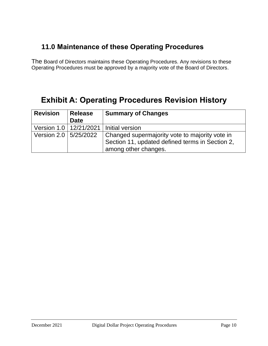## **11.0 Maintenance of these Operating Procedures**

The Board of Directors maintains these Operating Procedures. Any revisions to these Operating Procedures must be approved by a majority vote of the Board of Directors.

## **Exhibit A: Operating Procedures Revision History**

| <b>Revision</b>          | <b>Release</b> | <b>Summary of Changes</b>                       |  |
|--------------------------|----------------|-------------------------------------------------|--|
|                          | <b>Date</b>    |                                                 |  |
| Version 1.0   12/21/2021 |                | I Initial version                               |  |
| Version 2.0   5/25/2022  |                | Changed supermajority vote to majority vote in  |  |
|                          |                | Section 11, updated defined terms in Section 2, |  |
|                          |                | among other changes.                            |  |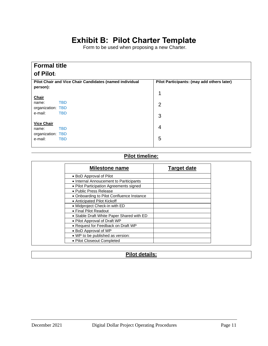## **Exhibit B: Pilot Charter Template**

Form to be used when proposing a new Charter.

| <b>Formal title</b>                                                 |                                            |
|---------------------------------------------------------------------|--------------------------------------------|
| of Pilot:                                                           |                                            |
| Pilot Chair and Vice Chair Candidates (named individual<br>person): | Pilot Participants: (may add others later) |
| <b>Chair</b>                                                        | 1                                          |
| <b>TBD</b><br>name:<br>organization: TBD                            | $\overline{2}$                             |
| <b>TBD</b><br>e-mail:                                               | 3                                          |
| <b>Vice Chair</b><br><b>TBD</b><br>name:                            | 4                                          |
| organization: TBD<br><b>TBD</b><br>e-mail:                          | 5                                          |
|                                                                     |                                            |

#### **Pilot timeline:**

| Milestone name                            | <b>Target date</b> |
|-------------------------------------------|--------------------|
| • BoD Approval of Pilot                   |                    |
| • Internal Annoucement to Pariticipants   |                    |
| • Pilot Participation Agreements signed   |                    |
| • Public Press Release                    |                    |
| • Onboarding to Pilot Confluence Instance |                    |
| • Anticipated Pilot Kickoff               |                    |
| • Midproject Check-in with ED             |                    |
| • Final Pilot Readout                     |                    |
| • Stable Draft White Paper Shared with ED |                    |
| • Pilot Approval of Draft WP              |                    |
| • Request for Feedback on Draft WP        |                    |
| • BoD Approval of WP                      |                    |
| • WP to be published as version:          |                    |
| • Pilot Closeout Completed                |                    |

#### **Pilot details:**